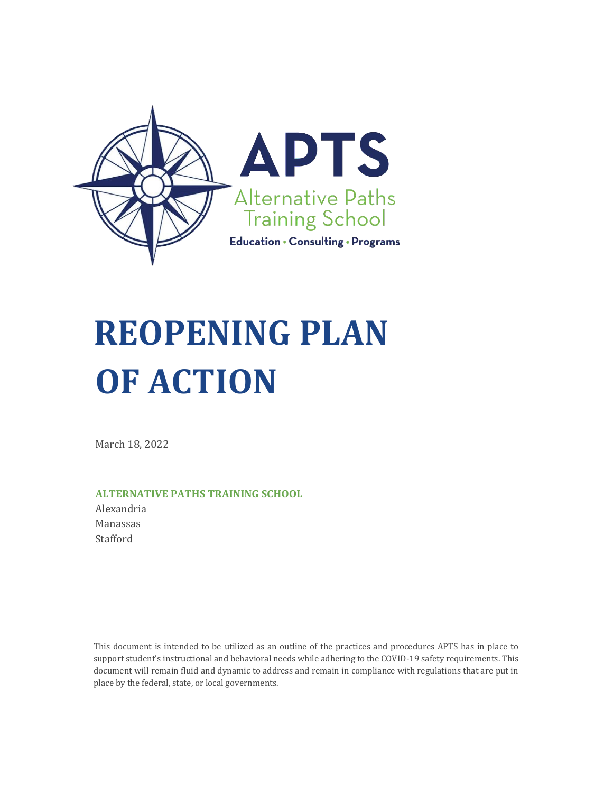

# **REOPENING PLAN OF ACTION**

March 18, 2022

#### **ALTERNATIVE PATHS TRAINING SCHOOL**

Alexandria Manassas Stafford

This document is intended to be utilized as an outline of the practices and procedures APTS has in place to support student's instructional and behavioral needs while adhering to the COVID-19 safety requirements. This document will remain fluid and dynamic to address and remain in compliance with regulations that are put in place by the federal, state, or local governments.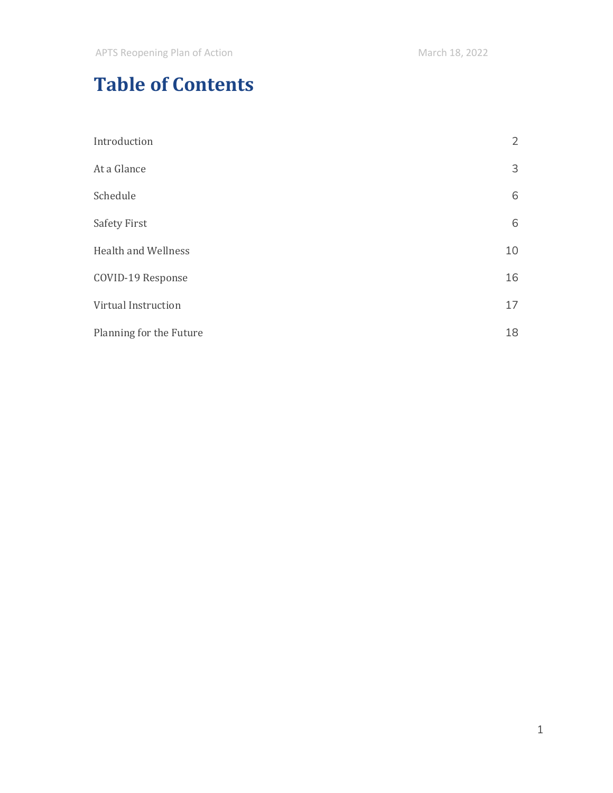# **Table of Contents**

| Introduction               | $\overline{2}$ |
|----------------------------|----------------|
| At a Glance                | 3              |
| Schedule                   | 6              |
| <b>Safety First</b>        | 6              |
| <b>Health and Wellness</b> | 10             |
| COVID-19 Response          | 16             |
| Virtual Instruction        | 17             |
| Planning for the Future    | 18             |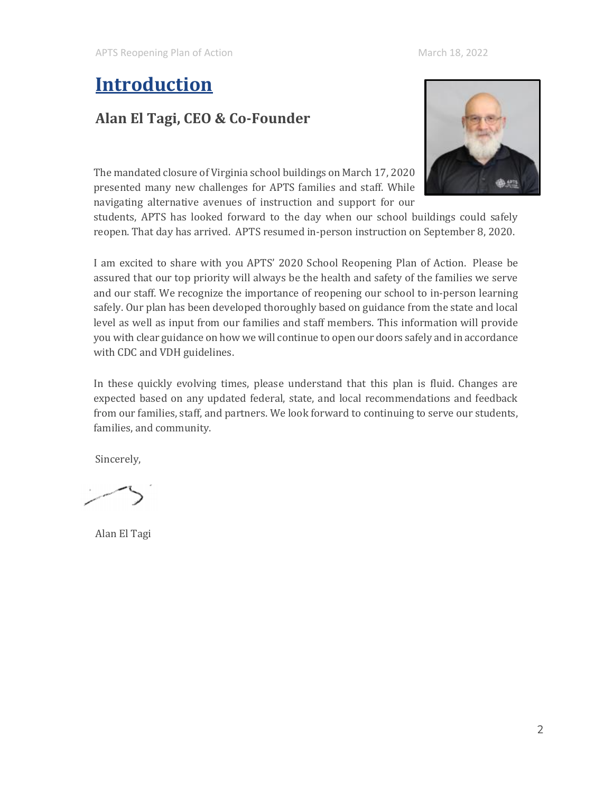# <span id="page-2-0"></span>**Introduction**

### **Alan El Tagi, CEO & Co-Founder**

The mandated closure of Virginia school buildings on March 17, 2020 presented many new challenges for APTS families and staff. While navigating alternative avenues of instruction and support for our



students, APTS has looked forward to the day when our school buildings could safely reopen. That day has arrived. APTS resumed in-person instruction on September 8, 2020.

I am excited to share with you APTS' 2020 School Reopening Plan of Action. Please be assured that our top priority will always be the health and safety of the families we serve and our staff. We recognize the importance of reopening our school to in-person learning safely. Our plan has been developed thoroughly based on guidance from the state and local level as well as input from our families and staff members. This information will provide you with clear guidance on how we will continue to open our doors safely and in accordance with CDC and VDH guidelines.

In these quickly evolving times, please understand that this plan is fluid. Changes are expected based on any updated federal, state, and local recommendations and feedback from our families, staff, and partners. We look forward to continuing to serve our students, families, and community.

Sincerely,

Alan El Tagi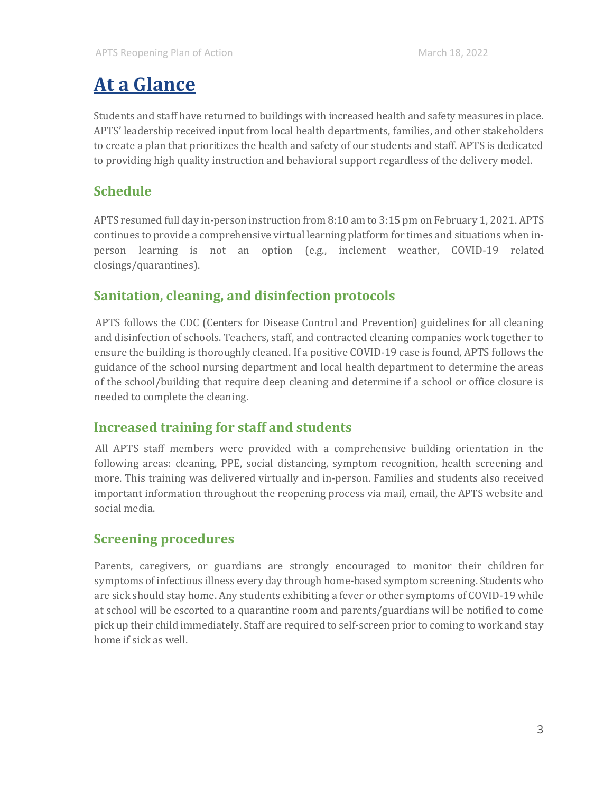# <span id="page-3-0"></span>**At a Glance**

Students and staff have returned to buildings with increased health and safety measures in place. APTS' leadership received input from local health departments, families, and other stakeholders to create a plan that prioritizes the health and safety of our students and staff. APTS is dedicated to providing high quality instruction and behavioral support regardless of the delivery model.

### **Schedule**

APTS resumed full day in-person instruction from 8:10 am to 3:15 pm on February 1, 2021. APTS continues to provide a comprehensive virtual learning platform for times and situations when inperson learning is not an option (e.g., inclement weather, COVID-19 related closings/quarantines).

### **Sanitation, cleaning, and disinfection protocols**

APTS follows the CDC (Centers for Disease Control and Prevention) guidelines for all cleaning and disinfection of schools. Teachers, staff, and contracted cleaning companies work together to ensure the building is thoroughly cleaned. If a positive COVID-19 case is found, APTS follows the guidance of the school nursing department and local health department to determine the areas of the school/building that require deep cleaning and determine if a school or office closure is needed to complete the cleaning.

### **Increased training for staff and students**

All APTS staff members were provided with a comprehensive building orientation in the following areas: cleaning, PPE, social distancing, symptom recognition, health screening and more. This training was delivered virtually and in-person. Families and students also received important information throughout the reopening process via mail, email, the APTS website and social media.

### **Screening procedures**

Parents, caregivers, or guardians are strongly encouraged to monitor their children for symptoms of infectious illness every day through home-based symptom screening. Students who are sick should stay home. Any students exhibiting a fever or other symptoms of COVID-19 while at school will be escorted to a quarantine room and parents/guardians will be notified to come pick up their child immediately. Staff are required to self-screen prior to coming to work and stay home if sick as well.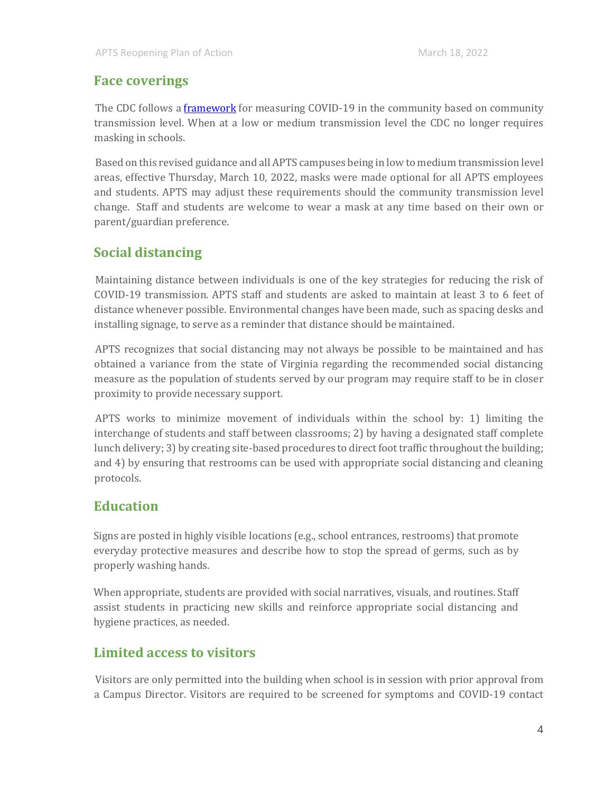#### **Face coverings**

The CDC follows a **[framework](https://www.cdc.gov/coronavirus/2019-ncov/science/community-levels.html)** for measuring COVID-19 in the community based on community transmission level. When at a low or medium transmission level the CDC no longer requires masking in schools.

Based on this revised guidance and all APTS campuses being in low to medium transmission level areas, effective Thursday, March 10, 2022, masks were made optional for all APTS employees and students. APTS may adjust these requirements should the community transmission level change. Staff and students are welcome to wear a mask at any time based on their own or parent/guardian preference.

### **Social distancing**

Maintaining distance between individuals is one of the key strategies for reducing the risk of COVID-19 transmission. APTS staff and students are asked to maintain at least 3 to 6 feet of distance whenever possible. Environmental changes have been made, such as spacing desks and installing signage, to serve as a reminder that distance should be maintained.

APTS recognizes that social distancing may not always be possible to be maintained and has obtained a variance from the state of Virginia regarding the recommended social distancing measure as the population of students served by our program may require staff to be in closer proximity to provide necessary support.

APTS works to minimize movement of individuals within the school by: 1) limiting the interchange of students and staff between classrooms; 2) by having a designated staff complete lunch delivery; 3) by creating site-based procedures to direct foot traffic throughout the building; and 4) by ensuring that restrooms can be used with appropriate social distancing and cleaning protocols.

### **Education**

Signs are posted in highly visible locations (e.g., school entrances, restrooms) that promote everyday protective measures and describe how to stop the spread of germs, such as by properly washing hands.

When appropriate, students are provided with social narratives, visuals, and routines. Staff assist students in practicing new skills and reinforce appropriate social distancing and hygiene practices, as needed.

### **Limited access to visitors**

Visitors are only permitted into the building when school is in session with prior approval from a Campus Director. Visitors are required to be screened for symptoms and COVID-19 contact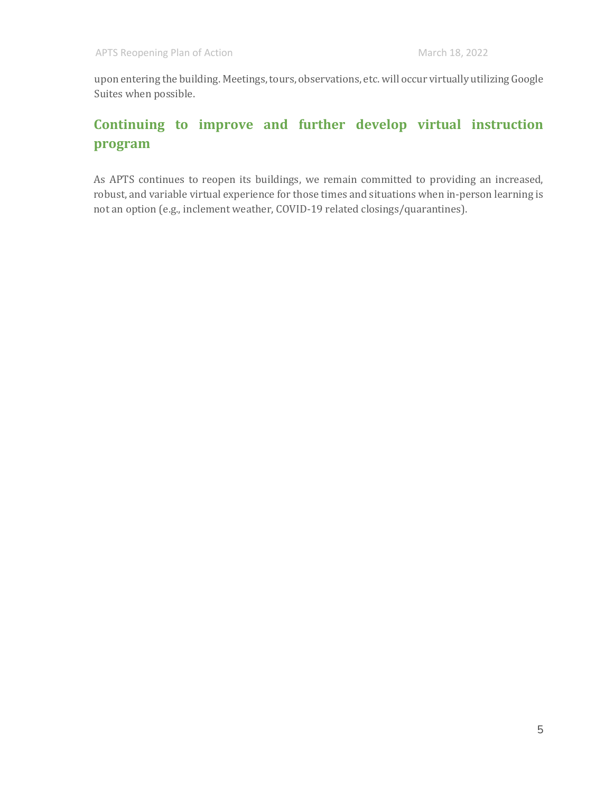upon entering the building. Meetings, tours, observations, etc. will occur virtually utilizing Google Suites when possible.

### **Continuing to improve and further develop virtual instruction program**

As APTS continues to reopen its buildings, we remain committed to providing an increased, robust, and variable virtual experience for those times and situations when in-person learning is not an option (e.g., inclement weather, COVID-19 related closings/quarantines).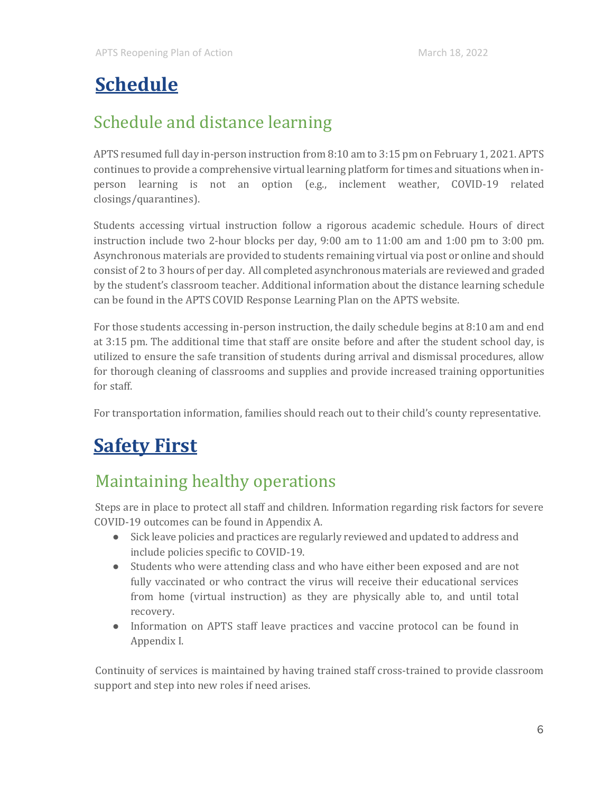# <span id="page-6-0"></span>**Schedule**

## Schedule and distance learning

APTS resumed full day in-person instruction from 8:10 am to 3:15 pm on February 1, 2021. APTS continues to provide a comprehensive virtual learning platform for times and situations when inperson learning is not an option (e.g., inclement weather, COVID-19 related closings/quarantines).

Students accessing virtual instruction follow a rigorous academic schedule. Hours of direct instruction include two 2-hour blocks per day, 9:00 am to 11:00 am and 1:00 pm to 3:00 pm. Asynchronous materials are provided to students remaining virtual via post or online and should consist of 2 to 3 hours of per day. All completed asynchronous materials are reviewed and graded by the student's classroom teacher. Additional information about the distance learning schedule can be found in the APTS COVID Response Learning Plan on the APTS website.

For those students accessing in-person instruction, the daily schedule begins at 8:10 am and end at 3:15 pm. The additional time that staff are onsite before and after the student school day, is utilized to ensure the safe transition of students during arrival and dismissal procedures, allow for thorough cleaning of classrooms and supplies and provide increased training opportunities for staff.

For transportation information, families should reach out to their child's county representative.

# <span id="page-6-1"></span>**Safety First**

### Maintaining healthy operations

Steps are in place to protect all staff and children. Information regarding risk factors for severe COVID-19 outcomes can be found in Appendix A.

- Sick leave policies and practices are regularly reviewed and updated to address and include policies specific to COVID-19.
- Students who were attending class and who have either been exposed and are not fully vaccinated or who contract the virus will receive their educational services from home (virtual instruction) as they are physically able to, and until total recovery.
- Information on APTS staff leave practices and vaccine protocol can be found in Appendix I.

Continuity of services is maintained by having trained staff cross-trained to provide classroom support and step into new roles if need arises.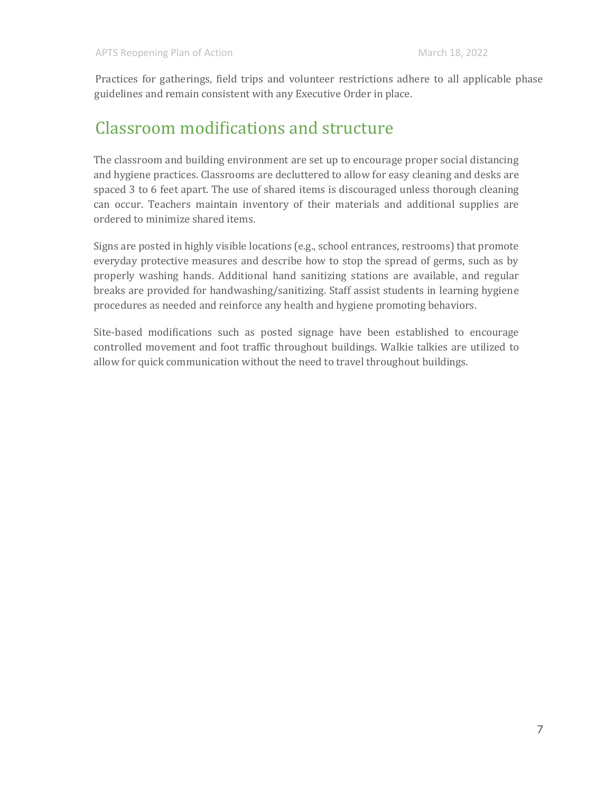Practices for gatherings, field trips and volunteer restrictions adhere to all applicable phase guidelines and remain consistent with any Executive Order in place.

### Classroom modifications and structure

The classroom and building environment are set up to encourage proper social distancing and hygiene practices. Classrooms are decluttered to allow for easy cleaning and desks are spaced 3 to 6 feet apart. The use of shared items is discouraged unless thorough cleaning can occur. Teachers maintain inventory of their materials and additional supplies are ordered to minimize shared items.

Signs are posted in highly visible locations (e.g., school entrances, restrooms) that promote everyday protective measures and describe how to stop the spread of germs, such as by properly washing hands. Additional hand sanitizing stations are available, and regular breaks are provided for handwashing/sanitizing. Staff assist students in learning hygiene procedures as needed and reinforce any health and hygiene promoting behaviors.

Site-based modifications such as posted signage have been established to encourage controlled movement and foot traffic throughout buildings. Walkie talkies are utilized to allow for quick communication without the need to travel throughout buildings.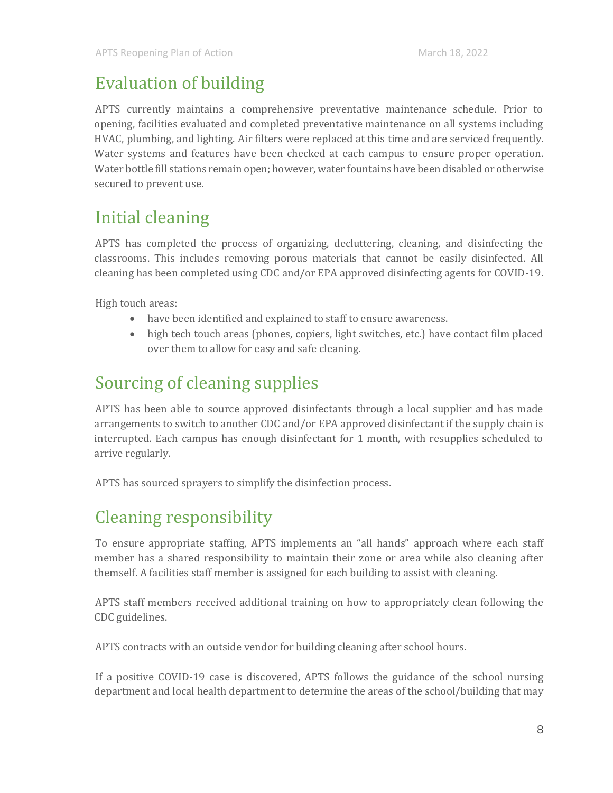### Evaluation of building

APTS currently maintains a comprehensive preventative maintenance schedule. Prior to opening, facilities evaluated and completed preventative maintenance on all systems including HVAC, plumbing, and lighting. Air filters were replaced at this time and are serviced frequently. Water systems and features have been checked at each campus to ensure proper operation. Water bottle fill stations remain open; however, water fountains have been disabled or otherwise secured to prevent use.

### Initial cleaning

APTS has completed the process of organizing, decluttering, cleaning, and disinfecting the classrooms. This includes removing porous materials that cannot be easily disinfected. All cleaning has been completed using CDC and/or EPA approved disinfecting agents for COVID-19.

High touch areas:

- have been identified and explained to staff to ensure awareness.
- high tech touch areas (phones, copiers, light switches, etc.) have contact film placed over them to allow for easy and safe cleaning.

## Sourcing of cleaning supplies

APTS has been able to source approved disinfectants through a local supplier and has made arrangements to switch to another CDC and/or EPA approved disinfectant if the supply chain is interrupted. Each campus has enough disinfectant for 1 month, with resupplies scheduled to arrive regularly.

APTS has sourced sprayers to simplify the disinfection process.

### Cleaning responsibility

To ensure appropriate staffing, APTS implements an "all hands" approach where each staff member has a shared responsibility to maintain their zone or area while also cleaning after themself. A facilities staff member is assigned for each building to assist with cleaning.

APTS staff members received additional training on how to appropriately clean following the CDC guidelines.

APTS contracts with an outside vendor for building cleaning after school hours.

If a positive COVID-19 case is discovered, APTS follows the guidance of the school nursing department and local health department to determine the areas of the school/building that may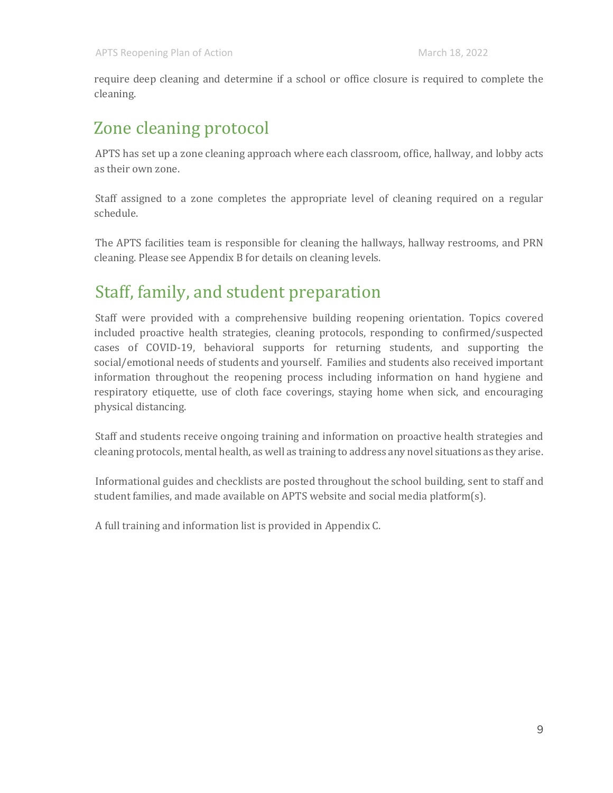require deep cleaning and determine if a school or office closure is required to complete the cleaning.

### Zone cleaning protocol

APTS has set up a zone cleaning approach where each classroom, office, hallway, and lobby acts as their own zone.

Staff assigned to a zone completes the appropriate level of cleaning required on a regular schedule.

The APTS facilities team is responsible for cleaning the hallways, hallway restrooms, and PRN cleaning. Please see Appendix B for details on cleaning levels.

### Staff, family, and student preparation

Staff were provided with a comprehensive building reopening orientation. Topics covered included proactive health strategies, cleaning protocols, responding to confirmed/suspected cases of COVID-19, behavioral supports for returning students, and supporting the social/emotional needs of students and yourself. Families and students also received important information throughout the reopening process including information on hand hygiene and respiratory etiquette, use of cloth face coverings, staying home when sick, and encouraging physical distancing.

Staff and students receive ongoing training and information on proactive health strategies and cleaning protocols, mental health, as well as training to address any novel situations as they arise.

Informational guides and checklists are posted throughout the school building, sent to staff and student families, and made available on APTS website and social media platform(s).

A full training and information list is provided in Appendix C.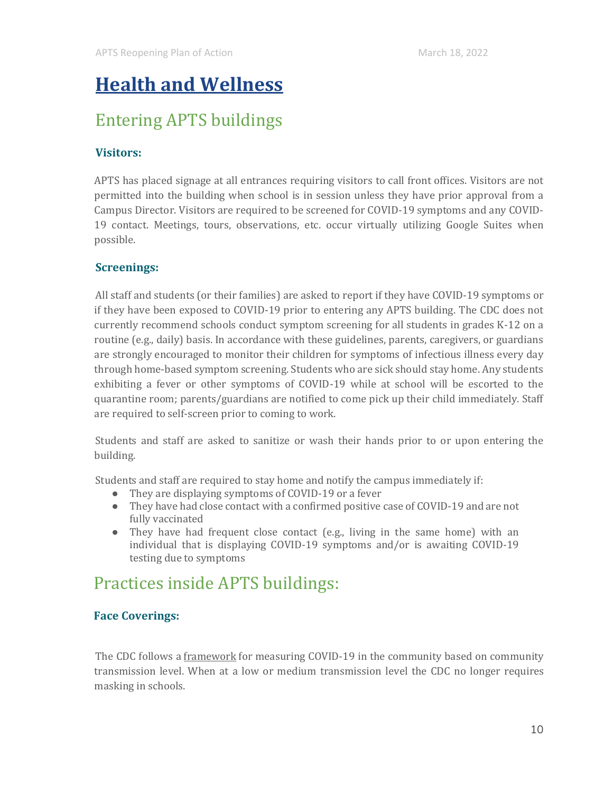# <span id="page-10-0"></span>**Health and Wellness**

### Entering APTS buildings

#### **Visitors:**

APTS has placed signage at all entrances requiring visitors to call front offices. Visitors are not permitted into the building when school is in session unless they have prior approval from a Campus Director. Visitors are required to be screened for COVID-19 symptoms and any COVID-19 contact. Meetings, tours, observations, etc. occur virtually utilizing Google Suites when possible.

#### **Screenings:**

All staff and students (or their families) are asked to report if they have COVID-19 symptoms or if they have been exposed to COVID-19 prior to entering any APTS building. The CDC does not currently recommend schools conduct symptom screening for all students in grades K-12 on a routine (e.g., daily) basis. In accordance with these guidelines, parents, caregivers, or guardians are strongly encouraged to monitor their children for symptoms of infectious illness every day through home-based symptom screening. Students who are sick should stay home. Any students exhibiting a fever or other symptoms of COVID-19 while at school will be escorted to the quarantine room; parents/guardians are notified to come pick up their child immediately. Staff are required to self-screen prior to coming to work.

Students and staff are asked to sanitize or wash their hands prior to or upon entering the building.

Students and staff are required to stay home and notify the campus immediately if:

- They are displaying symptoms of COVID-19 or a fever
- They have had close contact with a confirmed positive case of COVID-19 and are not fully vaccinated
- They have had frequent close contact (e.g., living in the same home) with an individual that is displaying COVID-19 symptoms and/or is awaiting COVID-19 testing due to symptoms

### Practices inside APTS buildings:

#### **Face Coverings:**

The CDC follows a [framework](https://www.cdc.gov/coronavirus/2019-ncov/science/community-levels.html) for measuring COVID-19 in the community based on community transmission level. When at a low or medium transmission level the CDC no longer requires masking in schools.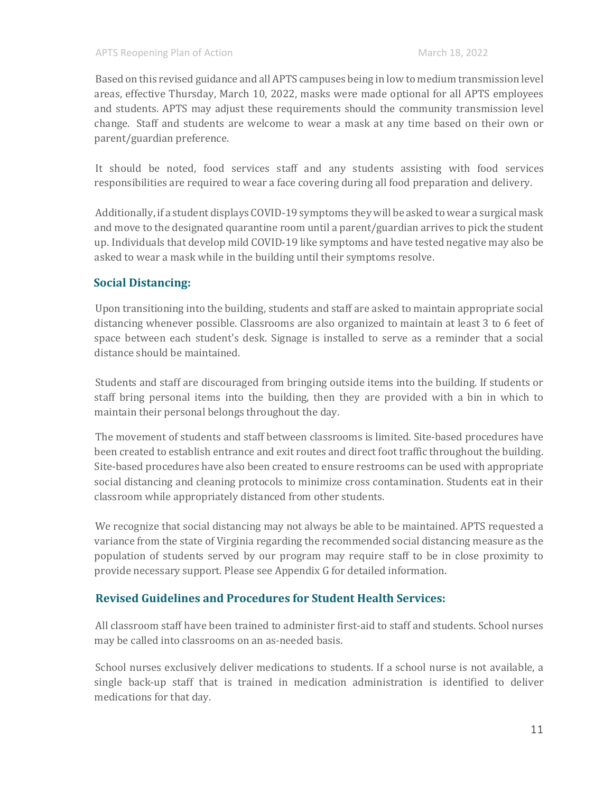Based on this revised guidance and all APTS campuses being in low to medium transmission level areas, effective Thursday, March 10, 2022, masks were made optional for all APTS employees and students. APTS may adjust these requirements should the community transmission level change. Staff and students are welcome to wear a mask at any time based on their own or parent/guardian preference.

It should be noted, food services staff and any students assisting with food services responsibilities are required to wear a face covering during all food preparation and delivery.

Additionally, if a student displays COVID-19 symptoms they will be asked to wear a surgical mask and move to the designated quarantine room until a parent/guardian arrives to pick the student up. Individuals that develop mild COVID-19 like symptoms and have tested negative may also be asked to wear a mask while in the building until their symptoms resolve.

#### **Social Distancing:**

Upon transitioning into the building, students and staff are asked to maintain appropriate social distancing whenever possible. Classrooms are also organized to maintain at least 3 to 6 feet of space between each student's desk. Signage is installed to serve as a reminder that a social distance should be maintained.

Students and staff are discouraged from bringing outside items into the building. If students or staff bring personal items into the building, then they are provided with a bin in which to maintain their personal belongs throughout the day.

The movement of students and staff between classrooms is limited. Site-based procedures have been created to establish entrance and exit routes and direct foot traffic throughout the building. Site-based procedures have also been created to ensure restrooms can be used with appropriate social distancing and cleaning protocols to minimize cross contamination. Students eat in their classroom while appropriately distanced from other students.

We recognize that social distancing may not always be able to be maintained. APTS requested a variance from the state of Virginia regarding the recommended social distancing measure as the population of students served by our program may require staff to be in close proximity to provide necessary support. Please see Appendix G for detailed information.

#### **Revised Guidelines and Procedures for Student Health Services:**

All classroom staff have been trained to administer first-aid to staff and students. School nurses may be called into classrooms on an as-needed basis.

School nurses exclusively deliver medications to students. If a school nurse is not available, a single back-up staff that is trained in medication administration is identified to deliver medications for that day.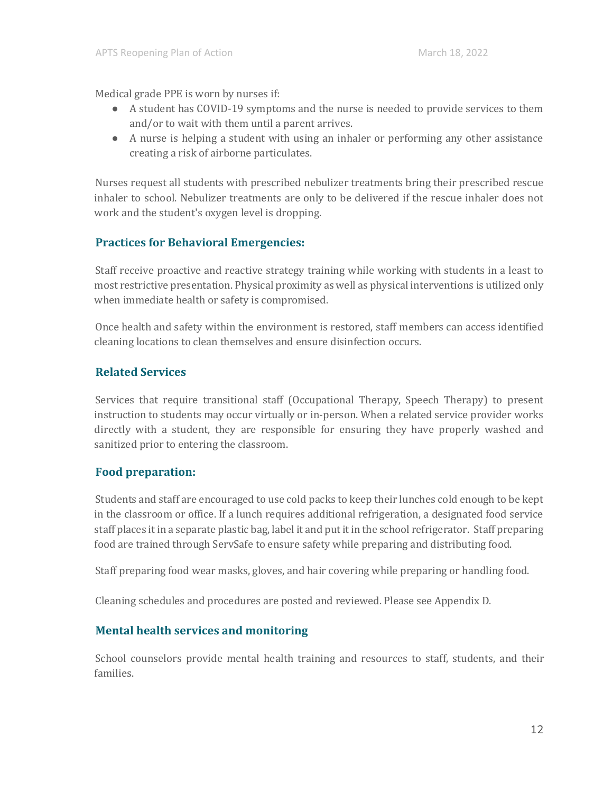Medical grade PPE is worn by nurses if:

- A student has COVID-19 symptoms and the nurse is needed to provide services to them and/or to wait with them until a parent arrives.
- A nurse is helping a student with using an inhaler or performing any other assistance creating a risk of airborne particulates.

Nurses request all students with prescribed nebulizer treatments bring their prescribed rescue inhaler to school. Nebulizer treatments are only to be delivered if the rescue inhaler does not work and the student's oxygen level is dropping.

#### **Practices for Behavioral Emergencies:**

Staff receive proactive and reactive strategy training while working with students in a least to most restrictive presentation. Physical proximity as well as physical interventions is utilized only when immediate health or safety is compromised.

Once health and safety within the environment is restored, staff members can access identified cleaning locations to clean themselves and ensure disinfection occurs.

#### **Related Services**

Services that require transitional staff (Occupational Therapy, Speech Therapy) to present instruction to students may occur virtually or in-person. When a related service provider works directly with a student, they are responsible for ensuring they have properly washed and sanitized prior to entering the classroom.

#### **Food preparation:**

Students and staff are encouraged to use cold packs to keep their lunches cold enough to be kept in the classroom or office. If a lunch requires additional refrigeration, a designated food service staff places it in a separate plastic bag, label it and put it in the school refrigerator. Staff preparing food are trained through ServSafe to ensure safety while preparing and distributing food.

Staff preparing food wear masks, gloves, and hair covering while preparing or handling food.

Cleaning schedules and procedures are posted and reviewed. Please see Appendix D.

#### **Mental health services and monitoring**

School counselors provide mental health training and resources to staff, students, and their families.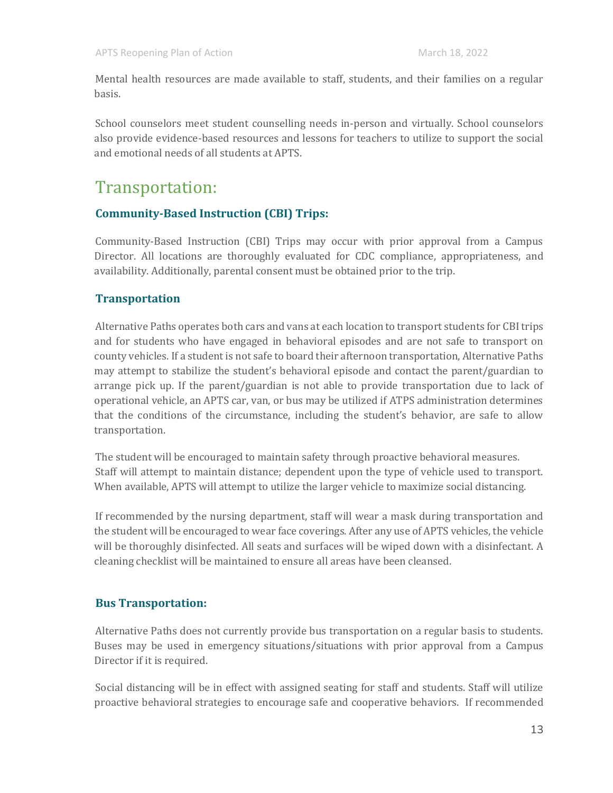Mental health resources are made available to staff, students, and their families on a regular basis.

School counselors meet student counselling needs in-person and virtually. School counselors also provide evidence-based resources and lessons for teachers to utilize to support the social and emotional needs of all students at APTS.

### Transportation:

#### **Community-Based Instruction (CBI) Trips:**

Community-Based Instruction (CBI) Trips may occur with prior approval from a Campus Director. All locations are thoroughly evaluated for CDC compliance, appropriateness, and availability. Additionally, parental consent must be obtained prior to the trip.

#### **Transportation**

Alternative Paths operates both cars and vans at each location to transport students for CBI trips and for students who have engaged in behavioral episodes and are not safe to transport on county vehicles. If a student is not safe to board their afternoon transportation, Alternative Paths may attempt to stabilize the student's behavioral episode and contact the parent/guardian to arrange pick up. If the parent/guardian is not able to provide transportation due to lack of operational vehicle, an APTS car, van, or bus may be utilized if ATPS administration determines that the conditions of the circumstance, including the student's behavior, are safe to allow transportation.

The student will be encouraged to maintain safety through proactive behavioral measures. Staff will attempt to maintain distance; dependent upon the type of vehicle used to transport. When available, APTS will attempt to utilize the larger vehicle to maximize social distancing.

If recommended by the nursing department, staff will wear a mask during transportation and the student will be encouraged to wear face coverings. After any use of APTS vehicles, the vehicle will be thoroughly disinfected. All seats and surfaces will be wiped down with a disinfectant. A cleaning checklist will be maintained to ensure all areas have been cleansed.

#### **Bus Transportation:**

Alternative Paths does not currently provide bus transportation on a regular basis to students. Buses may be used in emergency situations/situations with prior approval from a Campus Director if it is required.

Social distancing will be in effect with assigned seating for staff and students. Staff will utilize proactive behavioral strategies to encourage safe and cooperative behaviors. If recommended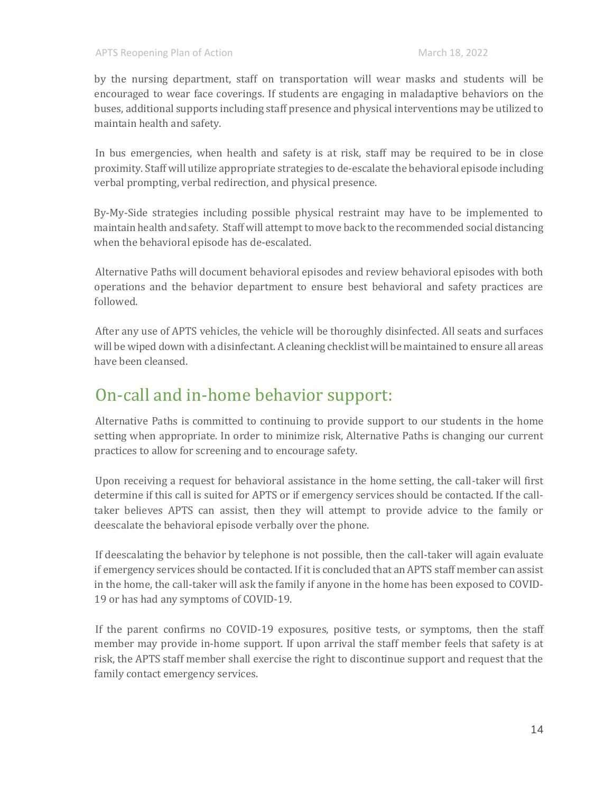by the nursing department, staff on transportation will wear masks and students will be encouraged to wear face coverings. If students are engaging in maladaptive behaviors on the buses, additional supports including staff presence and physical interventions may be utilized to maintain health and safety.

In bus emergencies, when health and safety is at risk, staff may be required to be in close proximity. Staff will utilize appropriate strategies to de-escalate the behavioral episode including verbal prompting, verbal redirection, and physical presence.

By-My-Side strategies including possible physical restraint may have to be implemented to maintain health and safety. Staff will attempt to move back to the recommended social distancing when the behavioral episode has de-escalated.

Alternative Paths will document behavioral episodes and review behavioral episodes with both operations and the behavior department to ensure best behavioral and safety practices are followed.

After any use of APTS vehicles, the vehicle will be thoroughly disinfected. All seats and surfaces will be wiped down with a disinfectant. A cleaning checklist will be maintained to ensure all areas have been cleansed.

### On-call and in-home behavior support:

Alternative Paths is committed to continuing to provide support to our students in the home setting when appropriate. In order to minimize risk, Alternative Paths is changing our current practices to allow for screening and to encourage safety.

Upon receiving a request for behavioral assistance in the home setting, the call-taker will first determine if this call is suited for APTS or if emergency services should be contacted. If the calltaker believes APTS can assist, then they will attempt to provide advice to the family or deescalate the behavioral episode verbally over the phone.

If deescalating the behavior by telephone is not possible, then the call-taker will again evaluate if emergency services should be contacted. If it is concluded that an APTS staff member can assist in the home, the call-taker will ask the family if anyone in the home has been exposed to COVID-19 or has had any symptoms of COVID-19.

If the parent confirms no COVID-19 exposures, positive tests, or symptoms, then the staff member may provide in-home support. If upon arrival the staff member feels that safety is at risk, the APTS staff member shall exercise the right to discontinue support and request that the family contact emergency services.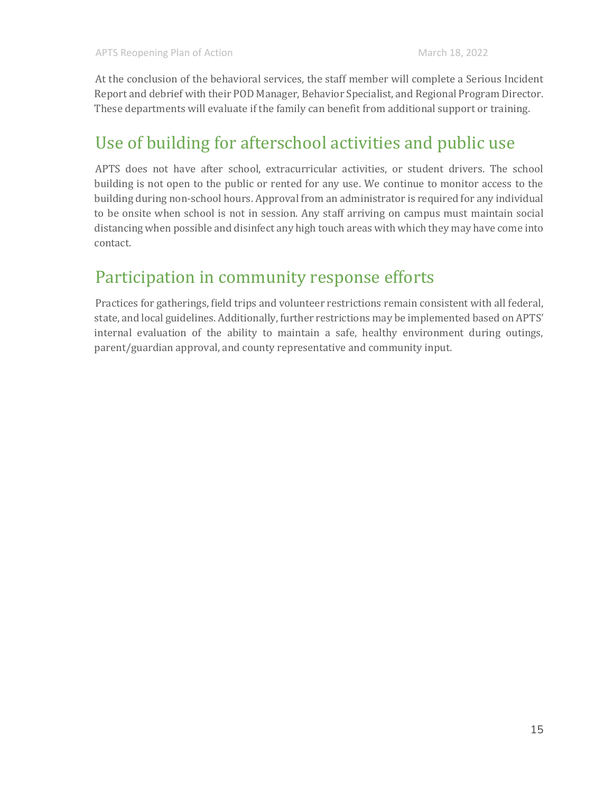At the conclusion of the behavioral services, the staff member will complete a Serious Incident Report and debrief with their POD Manager, Behavior Specialist, and Regional Program Director. These departments will evaluate if the family can benefit from additional support or training.

### Use of building for afterschool activities and public use

APTS does not have after school, extracurricular activities, or student drivers. The school building is not open to the public or rented for any use. We continue to monitor access to the building during non-school hours. Approval from an administrator is required for any individual to be onsite when school is not in session. Any staff arriving on campus must maintain social distancing when possible and disinfect any high touch areas with which they may have come into contact.

### Participation in community response efforts

Practices for gatherings, field trips and volunteer restrictions remain consistent with all federal, state, and local guidelines. Additionally, further restrictions may be implemented based on APTS' internal evaluation of the ability to maintain a safe, healthy environment during outings, parent/guardian approval, and county representative and community input.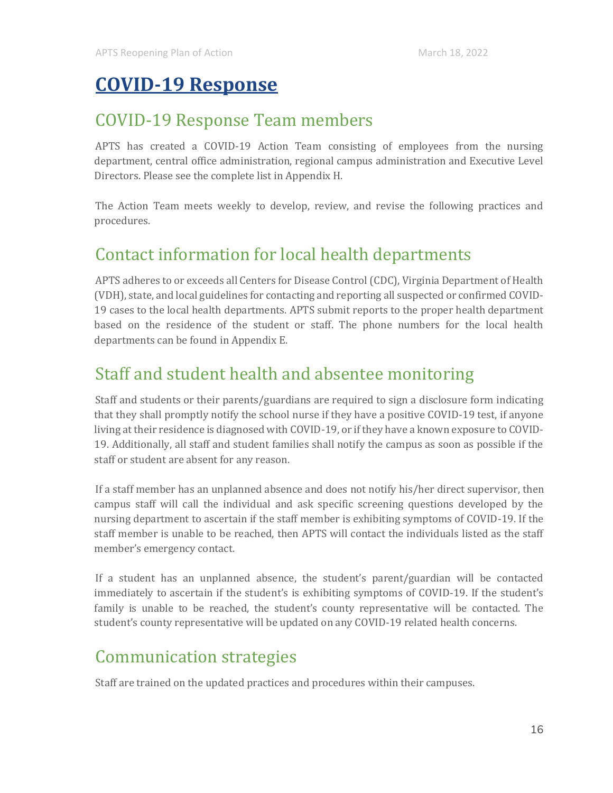# <span id="page-16-0"></span>**COVID-19 Response**

### COVID-19 Response Team members

APTS has created a COVID-19 Action Team consisting of employees from the nursing department, central office administration, regional campus administration and Executive Level Directors. Please see the complete list in Appendix H.

The Action Team meets weekly to develop, review, and revise the following practices and procedures.

### Contact information for local health departments

APTS adheres to or exceeds all Centers for Disease Control (CDC), Virginia Department of Health (VDH), state, and local guidelines for contacting and reporting all suspected or confirmed COVID-19 cases to the local health departments. APTS submit reports to the proper health department based on the residence of the student or staff. The phone numbers for the local health departments can be found in Appendix E.

### Staff and student health and absentee monitoring

Staff and students or their parents/guardians are required to sign a disclosure form indicating that they shall promptly notify the school nurse if they have a positive COVID-19 test, if anyone living at their residence is diagnosed with COVID-19, or if they have a known exposure to COVID-19. Additionally, all staff and student families shall notify the campus as soon as possible if the staff or student are absent for any reason.

If a staff member has an unplanned absence and does not notify his/her direct supervisor, then campus staff will call the individual and ask specific screening questions developed by the nursing department to ascertain if the staff member is exhibiting symptoms of COVID-19. If the staff member is unable to be reached, then APTS will contact the individuals listed as the staff member's emergency contact.

If a student has an unplanned absence, the student's parent/guardian will be contacted immediately to ascertain if the student's is exhibiting symptoms of COVID-19. If the student's family is unable to be reached, the student's county representative will be contacted. The student's county representative will be updated on any COVID-19 related health concerns.

### Communication strategies

Staff are trained on the updated practices and procedures within their campuses.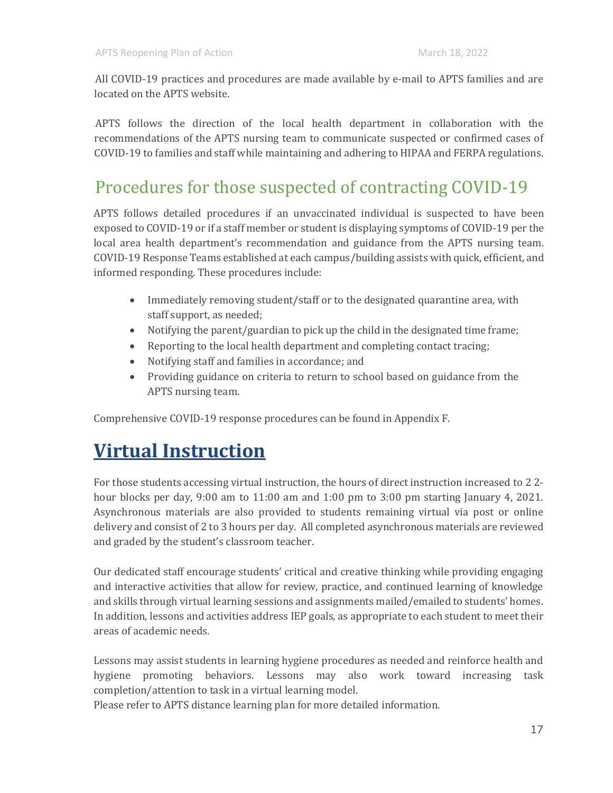All COVID-19 practices and procedures are made available by e-mail to APTS families and are located on the APTS website.

APTS follows the direction of the local health department in collaboration with the recommendations of the APTS nursing team to communicate suspected or confirmed cases of COVID-19 to families and staff while maintaining and adhering to HIPAA and FERPA regulations.

### Procedures for those suspected of contracting COVID-19

APTS follows detailed procedures if an unvaccinated individual is suspected to have been exposed to COVID-19 or if a staff member or student is displaying symptoms of COVID-19 per the local area health department's recommendation and guidance from the APTS nursing team. COVID-19 Response Teams established at each campus/building assists with quick, efficient, and informed responding. These procedures include:

- Immediately removing student/staff or to the designated quarantine area, with staff support, as needed;
- Notifying the parent/guardian to pick up the child in the designated time frame;
- Reporting to the local health department and completing contact tracing;
- Notifying staff and families in accordance; and
- Providing guidance on criteria to return to school based on guidance from the APTS nursing team.

Comprehensive COVID-19 response procedures can be found in Appendix F.

# <span id="page-17-0"></span>**Virtual Instruction**

For those students accessing virtual instruction, the hours of direct instruction increased to 2 2 hour blocks per day,  $9:00$  am to  $11:00$  am and  $1:00$  pm to  $3:00$  pm starting January 4, 2021. Asynchronous materials are also provided to students remaining virtual via post or online delivery and consist of 2 to 3 hours per day. All completed asynchronous materials are reviewed and graded by the student's classroom teacher.

Our dedicated staff encourage students' critical and creative thinking while providing engaging and interactive activities that allow for review, practice, and continued learning of knowledge and skills through virtual learning sessions and assignments mailed/emailed to students' homes. In addition, lessons and activities address IEP goals, as appropriate to each student to meet their areas of academic needs.

Lessons may assist students in learning hygiene procedures as needed and reinforce health and hygiene promoting behaviors. Lessons may also work toward increasing task completion/attention to task in a virtual learning model.

Please refer to APTS distance learning plan for more detailed information.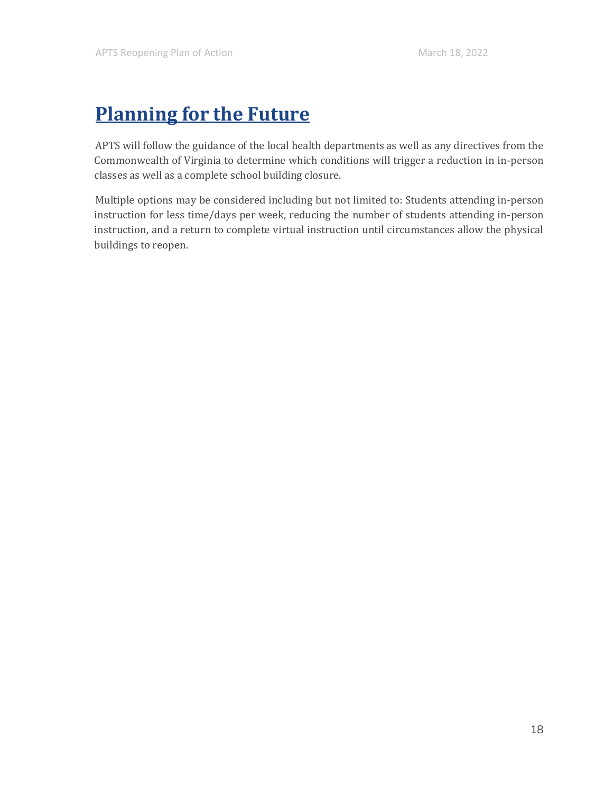# <span id="page-18-0"></span>**Planning for the Future**

APTS will follow the guidance of the local health departments as well as any directives from the Commonwealth of Virginia to determine which conditions will trigger a reduction in in-person classes as well as a complete school building closure.

Multiple options may be considered including but not limited to: Students attending in-person instruction for less time/days per week, reducing the number of students attending in-person instruction, and a return to complete virtual instruction until circumstances allow the physical buildings to reopen.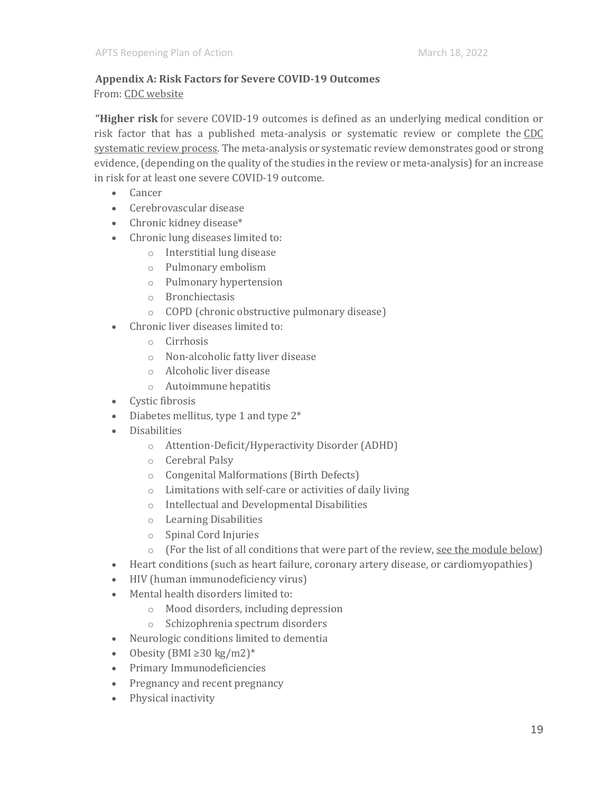#### **Appendix A: Risk Factors for Severe COVID-19 Outcomes** From: CDC [website](https://www.cdc.gov/coronavirus/2019-ncov/science/science-briefs/underlying-evidence-table.html#:~:text=Higher%20risk%20for%20underlying%20conditions,one%20severe%20COVID%2D19%20outcome.)

**"Higher risk** for severe COVID-19 outcomes is defined as an underlying medical condition or risk factor that has a published meta-analysis or systematic review or complete the [CDC](https://www.cdc.gov/coronavirus/2019-ncov/science/science-briefs/systematic-review-process.html)  [systematic review process.](https://www.cdc.gov/coronavirus/2019-ncov/science/science-briefs/systematic-review-process.html) The meta-analysis or systematic review demonstrates good or strong evidence, (depending on the quality of the studies in the review or meta-analysis) for an increase in risk for at least one severe COVID-19 outcome.

- Cancer
- Cerebrovascular disease
- Chronic kidney disease\*
- Chronic lung diseases limited to:
	- o Interstitial lung disease
	- o Pulmonary embolism
	- o Pulmonary hypertension
	- o Bronchiectasis
	- o COPD (chronic obstructive pulmonary disease)
- Chronic liver diseases limited to:
	- o Cirrhosis
	- o Non-alcoholic fatty liver disease
	- o Alcoholic liver disease
	- o Autoimmune hepatitis
- Cystic fibrosis
- Diabetes mellitus, type 1 and type 2\*
- Disabilities
	- o Attention-Deficit/Hyperactivity Disorder (ADHD)
	- o Cerebral Palsy
	- o Congenital Malformations (Birth Defects)
	- o Limitations with self-care or activities of daily living
	- o Intellectual and Developmental Disabilities
	- o Learning Disabilities
	- o Spinal Cord Injuries
	- $\circ$  (For the list of all conditions that were part of the review, [see the module below\)](https://www.cdc.gov/coronavirus/2019-ncov/hcp/clinical-care/underlyingconditions.html#accordion-1-card-1)
- Heart conditions (such as heart failure, coronary artery disease, or cardiomyopathies)
- HIV (human immunodeficiency virus)
- Mental health disorders limited to:
	- o Mood disorders, including depression
	- o Schizophrenia spectrum disorders
- Neurologic conditions limited to dementia
- Obesity (BMI  $\geq$ 30 kg/m2)<sup>\*</sup>
- Primary Immunodeficiencies
- Pregnancy and recent pregnancy
- Physical inactivity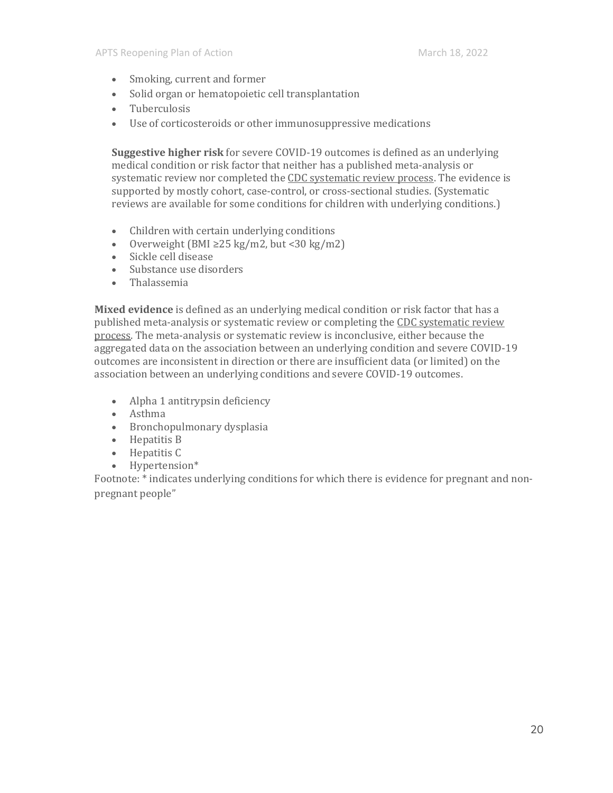- Smoking, current and former
- Solid organ or hematopoietic cell transplantation
- Tuberculosis
- Use of corticosteroids or other immunosuppressive medications

**Suggestive higher risk** for severe COVID-19 outcomes is defined as an underlying medical condition or risk factor that neither has a published meta-analysis or systematic review nor completed the [CDC systematic review process.](https://www.cdc.gov/coronavirus/2019-ncov/science/science-briefs/systematic-review-process.html) The evidence is supported by mostly cohort, case-control, or cross-sectional studies. (Systematic reviews are available for some conditions for children with underlying conditions.)

- Children with certain underlying conditions
- Overweight (BMI  $\geq$  25 kg/m2, but < 30 kg/m2)
- Sickle cell disease
- Substance use disorders
- Thalassemia

**Mixed evidence** is defined as an underlying medical condition or risk factor that has a published meta-analysis or systematic review or completing the [CDC systematic review](https://www.cdc.gov/coronavirus/2019-ncov/science/science-briefs/systematic-review-process.html)  [process.](https://www.cdc.gov/coronavirus/2019-ncov/science/science-briefs/systematic-review-process.html) The meta-analysis or systematic review is inconclusive, either because the aggregated data on the association between an underlying condition and severe COVID-19 outcomes are inconsistent in direction or there are insufficient data (or limited) on the association between an underlying conditions and severe COVID-19 outcomes.

- Alpha 1 antitrypsin deficiency
- Asthma
- Bronchopulmonary dysplasia
- Hepatitis B
- Hepatitis C
- Hypertension\*

Footnote: \* indicates underlying conditions for which there is evidence for pregnant and nonpregnant people"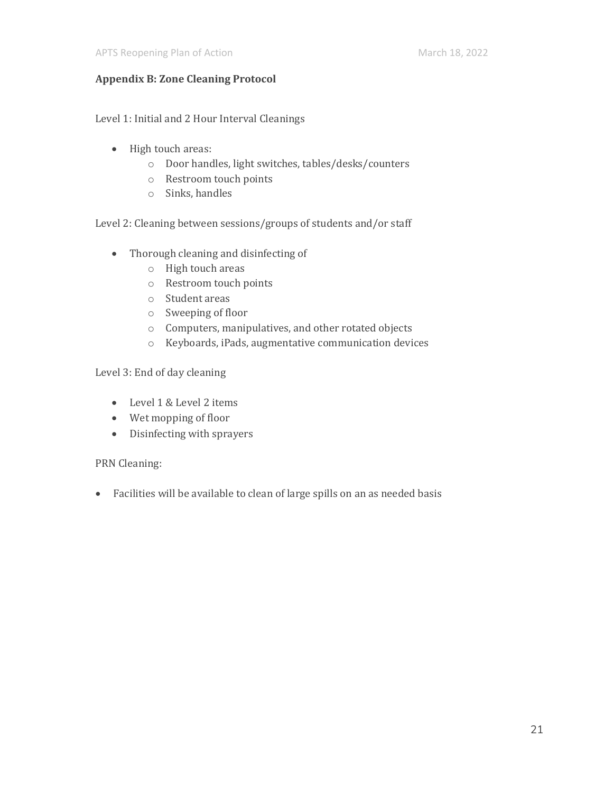#### **Appendix B: Zone Cleaning Protocol**

Level 1: Initial and 2 Hour Interval Cleanings

- High touch areas:
	- o Door handles, light switches, tables/desks/counters
	- o Restroom touch points
	- o Sinks, handles

Level 2: Cleaning between sessions/groups of students and/or staff

- Thorough cleaning and disinfecting of
	- o High touch areas
	- o Restroom touch points
	- o Student areas
	- o Sweeping of floor
	- o Computers, manipulatives, and other rotated objects
	- o Keyboards, iPads, augmentative communication devices

Level 3: End of day cleaning

- Level 1 & Level 2 items
- Wet mopping of floor
- Disinfecting with sprayers

PRN Cleaning:

• Facilities will be available to clean of large spills on an as needed basis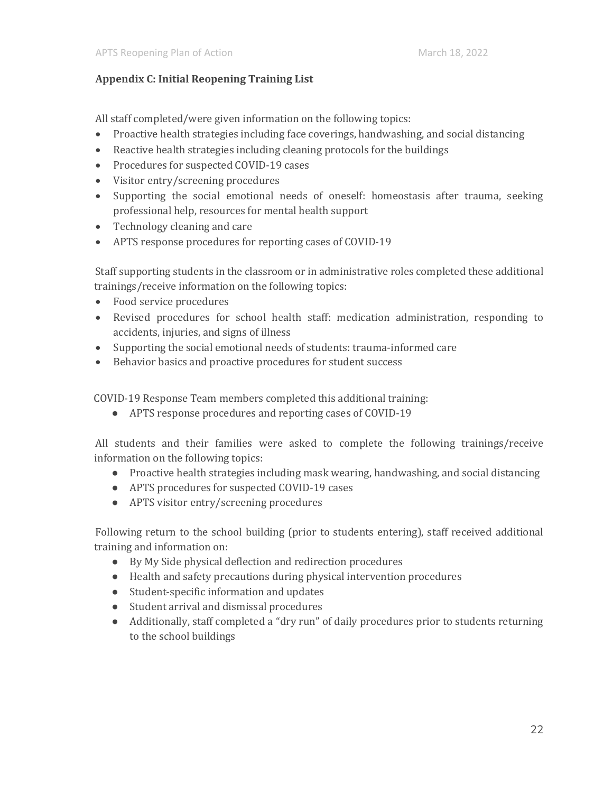#### **Appendix C: Initial Reopening Training List**

All staff completed/were given information on the following topics:

- Proactive health strategies including face coverings, handwashing, and social distancing
- Reactive health strategies including cleaning protocols for the buildings
- Procedures for suspected COVID-19 cases
- Visitor entry/screening procedures
- Supporting the social emotional needs of oneself: homeostasis after trauma, seeking professional help, resources for mental health support
- Technology cleaning and care
- APTS response procedures for reporting cases of COVID-19

Staff supporting students in the classroom or in administrative roles completed these additional trainings/receive information on the following topics:

- Food service procedures
- Revised procedures for school health staff: medication administration, responding to accidents, injuries, and signs of illness
- Supporting the social emotional needs of students: trauma-informed care
- Behavior basics and proactive procedures for student success

COVID-19 Response Team members completed this additional training:

● APTS response procedures and reporting cases of COVID-19

All students and their families were asked to complete the following trainings/receive information on the following topics:

- Proactive health strategies including mask wearing, handwashing, and social distancing
- APTS procedures for suspected COVID-19 cases
- APTS visitor entry/screening procedures

Following return to the school building (prior to students entering), staff received additional training and information on:

- By My Side physical deflection and redirection procedures
- Health and safety precautions during physical intervention procedures
- Student-specific information and updates
- Student arrival and dismissal procedures
- Additionally, staff completed a "dry run" of daily procedures prior to students returning to the school buildings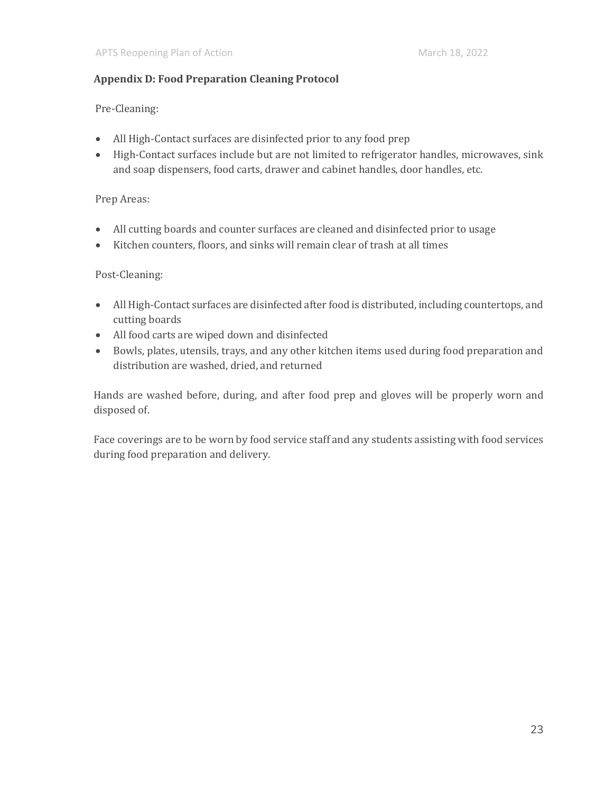#### **Appendix D: Food Preparation Cleaning Protocol**

Pre-Cleaning:

- All High-Contact surfaces are disinfected prior to any food prep
- High-Contact surfaces include but are not limited to refrigerator handles, microwaves, sink and soap dispensers, food carts, drawer and cabinet handles, door handles, etc.

#### Prep Areas:

- All cutting boards and counter surfaces are cleaned and disinfected prior to usage
- Kitchen counters, floors, and sinks will remain clear of trash at all times

#### Post-Cleaning:

- All High-Contact surfaces are disinfected after food is distributed, including countertops, and cutting boards
- All food carts are wiped down and disinfected
- Bowls, plates, utensils, trays, and any other kitchen items used during food preparation and distribution are washed, dried, and returned

Hands are washed before, during, and after food prep and gloves will be properly worn and disposed of.

Face coverings are to be worn by food service staff and any students assisting with food services during food preparation and delivery.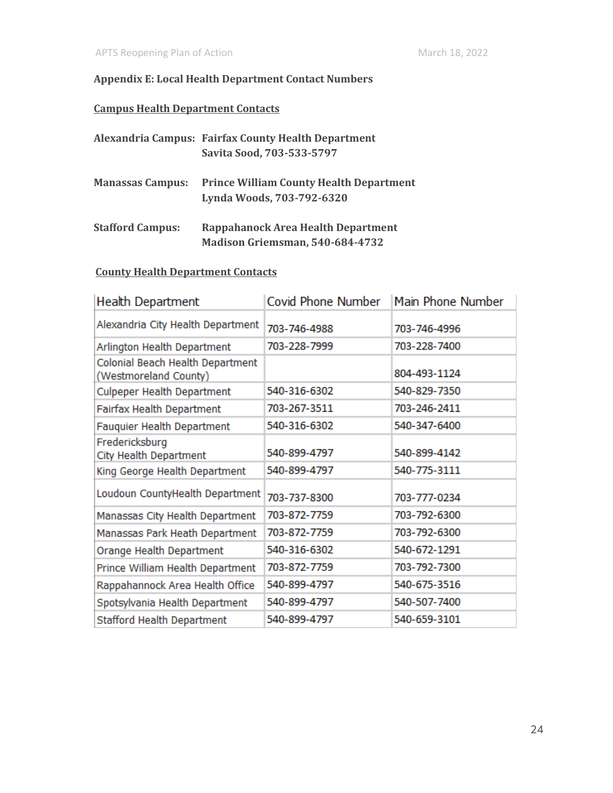#### **Appendix E: Local Health Department Contact Numbers**

#### **Campus Health Department Contacts**

|                         | Alexandria Campus: Fairfax County Health Department<br>Savita Sood, 703-533-5797 |
|-------------------------|----------------------------------------------------------------------------------|
|                         |                                                                                  |
| <b>Manassas Campus:</b> | <b>Prince William County Health Department</b><br>Lynda Woods, 703-792-6320      |
| <b>Stafford Campus:</b> | Rappahanock Area Health Department                                               |
|                         | Madison Griemsman, 540-684-4732                                                  |

#### **County Health Department Contacts**

| Health Department                                         | <b>Covid Phone Number</b> | Main Phone Number |
|-----------------------------------------------------------|---------------------------|-------------------|
| Alexandria City Health Department                         | 703-746-4988              | 703-746-4996      |
| Arlington Health Department                               | 703-228-7999              | 703-228-7400      |
| Colonial Beach Health Department<br>(Westmoreland County) |                           | 804-493-1124      |
| <b>Culpeper Health Department</b>                         | 540-316-6302              | 540-829-7350      |
| Fairfax Health Department                                 | 703-267-3511              | 703-246-2411      |
| Fauquier Health Department                                | 540-316-6302              | 540-347-6400      |
| Fredericksburg<br>City Health Department                  | 540-899-4797              | 540-899-4142      |
| King George Health Department                             | 540-899-4797              | 540-775-3111      |
| Loudoun CountyHealth Department                           | 703-737-8300              | 703-777-0234      |
| Manassas City Health Department                           | 703-872-7759              | 703-792-6300      |
| Manassas Park Heath Department                            | 703-872-7759              | 703-792-6300      |
| Orange Health Department                                  | 540-316-6302              | 540-672-1291      |
| Prince William Health Department                          | 703-872-7759              | 703-792-7300      |
| Rappahannock Area Health Office                           | 540-899-4797              | 540-675-3516      |
| Spotsylvania Health Department                            | 540-899-4797              | 540-507-7400      |
| Stafford Health Department                                | 540-899-4797              | 540-659-3101      |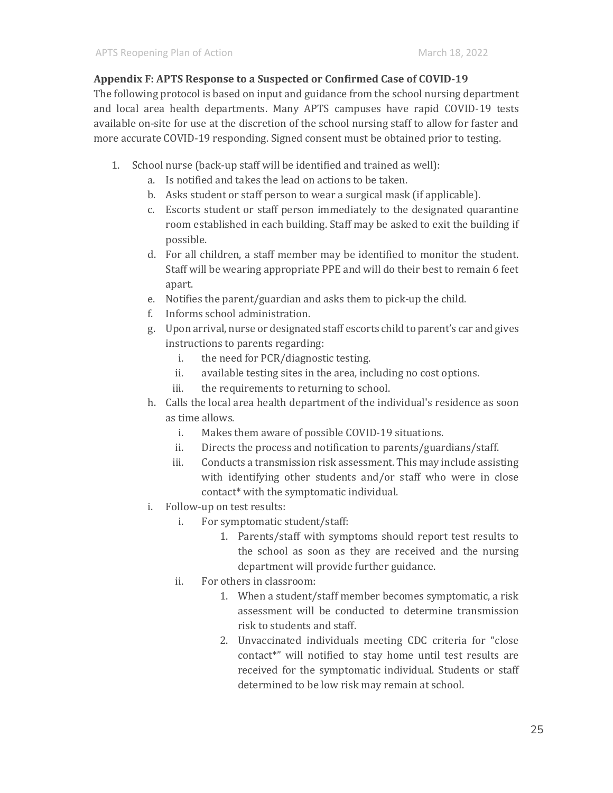#### **Appendix F: APTS Response to a Suspected or Confirmed Case of COVID-19**

The following protocol is based on input and guidance from the school nursing department and local area health departments. Many APTS campuses have rapid COVID-19 tests available on-site for use at the discretion of the school nursing staff to allow for faster and more accurate COVID-19 responding. Signed consent must be obtained prior to testing.

- 1. School nurse (back-up staff will be identified and trained as well):
	- a. Is notified and takes the lead on actions to be taken.
	- b. Asks student or staff person to wear a surgical mask (if applicable).
	- c. Escorts student or staff person immediately to the designated quarantine room established in each building. Staff may be asked to exit the building if possible.
	- d. For all children, a staff member may be identified to monitor the student. Staff will be wearing appropriate PPE and will do their best to remain 6 feet apart.
	- e. Notifies the parent/guardian and asks them to pick-up the child.
	- f. Informs school administration.
	- g. Upon arrival, nurse or designated staff escorts child to parent's car and gives instructions to parents regarding:
		- i. the need for PCR/diagnostic testing.
		- ii. available testing sites in the area, including no cost options.
		- iii. the requirements to returning to school.
	- h. Calls the local area health department of the individual's residence as soon as time allows.
		- i. Makes them aware of possible COVID-19 situations.
		- ii. Directs the process and notification to parents/guardians/staff.
		- iii. Conducts a transmission risk assessment. This may include assisting with identifying other students and/or staff who were in close contact\* with the symptomatic individual.
	- i. Follow-up on test results:
		- i. For symptomatic student/staff:
			- 1. Parents/staff with symptoms should report test results to the school as soon as they are received and the nursing department will provide further guidance.
		- ii. For others in classroom:
			- 1. When a student/staff member becomes symptomatic, a risk assessment will be conducted to determine transmission risk to students and staff.
			- 2. Unvaccinated individuals meeting CDC criteria for "close contact\*" will notified to stay home until test results are received for the symptomatic individual. Students or staff determined to be low risk may remain at school.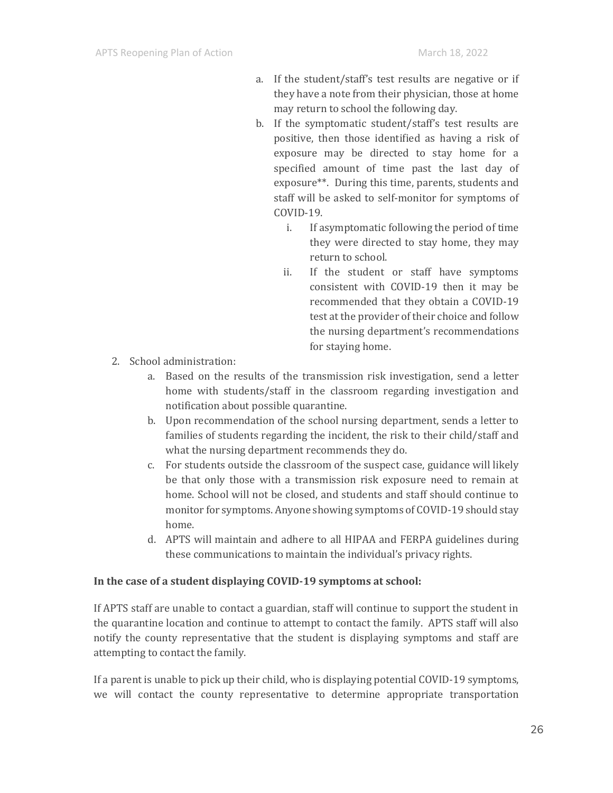- a. If the student/staff's test results are negative or if they have a note from their physician, those at home may return to school the following day.
- b. If the symptomatic student/staff's test results are positive, then those identified as having a risk of exposure may be directed to stay home for a specified amount of time past the last day of exposure\*\*. During this time, parents, students and staff will be asked to self-monitor for symptoms of COVID-19.
	- i. If asymptomatic following the period of time they were directed to stay home, they may return to school.
	- ii. If the student or staff have symptoms consistent with COVID-19 then it may be recommended that they obtain a COVID-19 test at the provider of their choice and follow the nursing department's recommendations for staying home.
- 2. School administration:
	- a. Based on the results of the transmission risk investigation, send a letter home with students/staff in the classroom regarding investigation and notification about possible quarantine.
	- b. Upon recommendation of the school nursing department, sends a letter to families of students regarding the incident, the risk to their child/staff and what the nursing department recommends they do.
	- c. For students outside the classroom of the suspect case, guidance will likely be that only those with a transmission risk exposure need to remain at home. School will not be closed, and students and staff should continue to monitor for symptoms. Anyone showing symptoms of COVID-19 should stay home.
	- d. APTS will maintain and adhere to all HIPAA and FERPA guidelines during these communications to maintain the individual's privacy rights.

#### **In the case of a student displaying COVID-19 symptoms at school:**

If APTS staff are unable to contact a guardian, staff will continue to support the student in the quarantine location and continue to attempt to contact the family. APTS staff will also notify the county representative that the student is displaying symptoms and staff are attempting to contact the family.

If a parent is unable to pick up their child, who is displaying potential COVID-19 symptoms, we will contact the county representative to determine appropriate transportation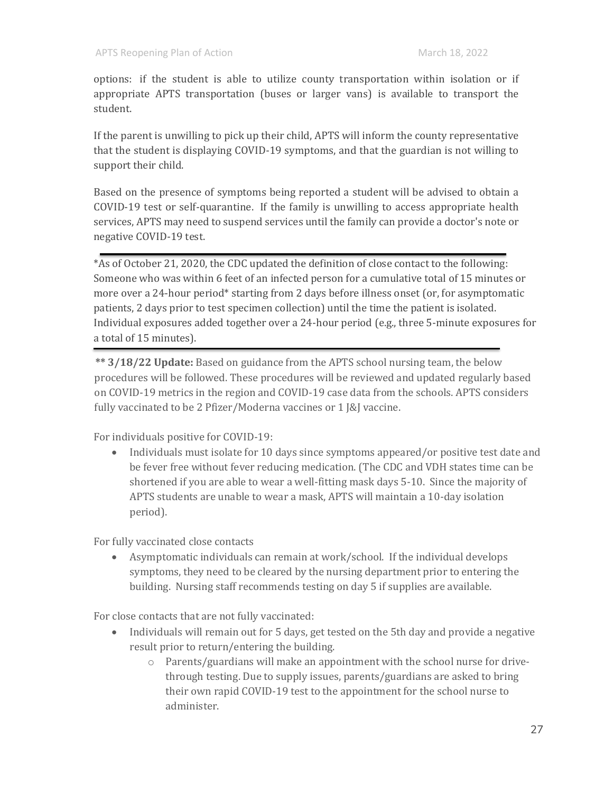options: if the student is able to utilize county transportation within isolation or if appropriate APTS transportation (buses or larger vans) is available to transport the student.

If the parent is unwilling to pick up their child, APTS will inform the county representative that the student is displaying COVID-19 symptoms, and that the guardian is not willing to support their child.

Based on the presence of symptoms being reported a student will be advised to obtain a COVID-19 test or self-quarantine. If the family is unwilling to access appropriate health services, APTS may need to suspend services until the family can provide a doctor's note or negative COVID-19 test.

\*As of October 21, 2020, the CDC updated the definition of close contact to the following: Someone who was within 6 feet of an infected person for a cumulative total of 15 minutes or more over a 24-hour period\* starting from 2 days before illness onset (or, for asymptomatic patients, 2 days prior to test specimen collection) until the time the patient is isolated. Individual exposures added together over a 24-hour period (e.g., three 5-minute exposures for a total of 15 minutes).

**\*\* 3/18/22 Update:** Based on guidance from the APTS school nursing team, the below procedures will be followed. These procedures will be reviewed and updated regularly based on COVID-19 metrics in the region and COVID-19 case data from the schools. APTS considers fully vaccinated to be 2 Pfizer/Moderna vaccines or 1 J&J vaccine.

For individuals positive for COVID-19:

• Individuals must isolate for 10 days since symptoms appeared/or positive test date and be fever free without fever reducing medication. (The CDC and VDH states time can be shortened if you are able to wear a well-fitting mask days 5-10. Since the majority of APTS students are unable to wear a mask, APTS will maintain a 10-day isolation period).

For fully vaccinated close contacts

• Asymptomatic individuals can remain at work/school. If the individual develops symptoms, they need to be cleared by the nursing department prior to entering the building. Nursing staff recommends testing on day 5 if supplies are available.

For close contacts that are not fully vaccinated:

- Individuals will remain out for 5 days, get tested on the 5th day and provide a negative result prior to return/entering the building.
	- o Parents/guardians will make an appointment with the school nurse for drivethrough testing. Due to supply issues, parents/guardians are asked to bring their own rapid COVID-19 test to the appointment for the school nurse to administer.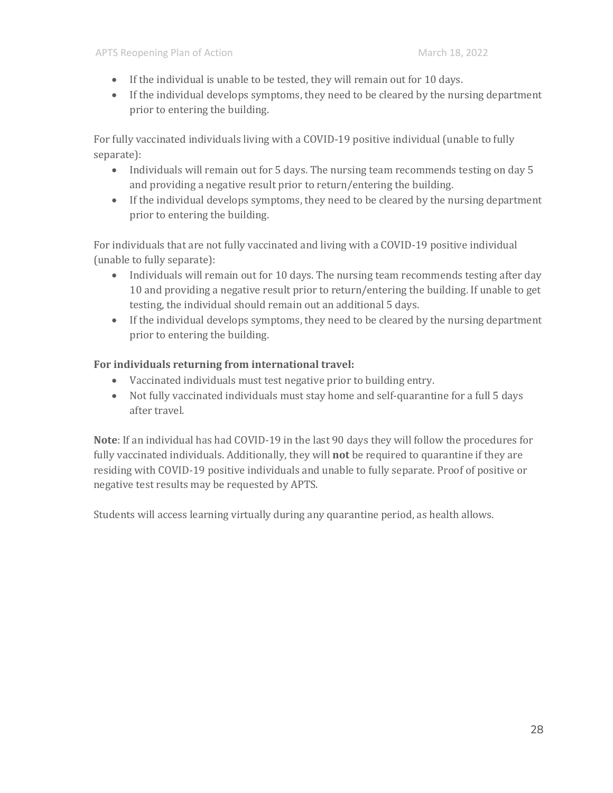- If the individual is unable to be tested, they will remain out for 10 days.
- If the individual develops symptoms, they need to be cleared by the nursing department prior to entering the building.

For fully vaccinated individuals living with a COVID-19 positive individual (unable to fully separate):

- Individuals will remain out for 5 days. The nursing team recommends testing on day 5 and providing a negative result prior to return/entering the building.
- If the individual develops symptoms, they need to be cleared by the nursing department prior to entering the building.

For individuals that are not fully vaccinated and living with a COVID-19 positive individual (unable to fully separate):

- Individuals will remain out for 10 days. The nursing team recommends testing after day 10 and providing a negative result prior to return/entering the building. If unable to get testing, the individual should remain out an additional 5 days.
- If the individual develops symptoms, they need to be cleared by the nursing department prior to entering the building.

#### **For individuals returning from international travel:**

- Vaccinated individuals must test negative prior to building entry.
- Not fully vaccinated individuals must stay home and self-quarantine for a full 5 days after travel.

**Note**: If an individual has had COVID-19 in the last 90 days they will follow the procedures for fully vaccinated individuals. Additionally, they will **not** be required to quarantine if they are residing with COVID-19 positive individuals and unable to fully separate. Proof of positive or negative test results may be requested by APTS.

Students will access learning virtually during any quarantine period, as health allows.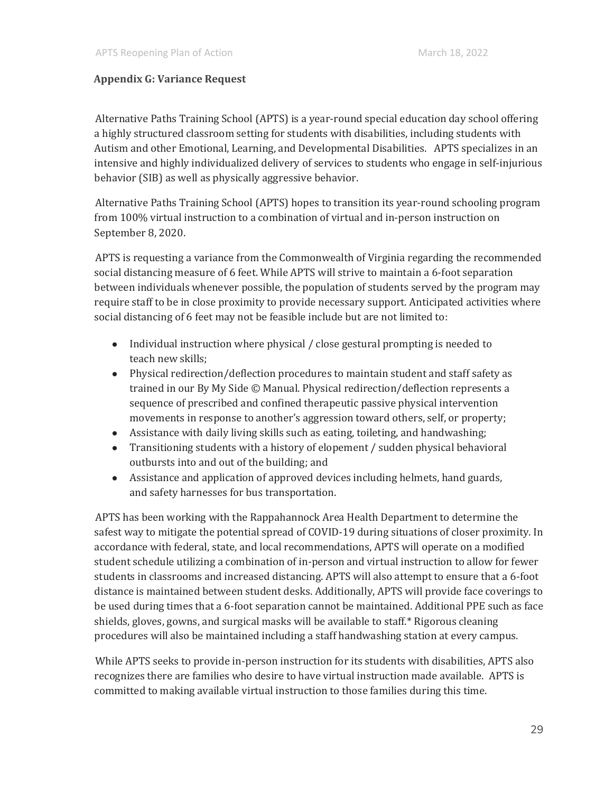#### **Appendix G: Variance Request**

Alternative Paths Training School (APTS) is a year-round special education day school offering a highly structured classroom setting for students with disabilities, including students with Autism and other Emotional, Learning, and Developmental Disabilities. APTS specializes in an intensive and highly individualized delivery of services to students who engage in self-injurious behavior (SIB) as well as physically aggressive behavior.

Alternative Paths Training School (APTS) hopes to transition its year-round schooling program from 100% virtual instruction to a combination of virtual and in-person instruction on September 8, 2020.

APTS is requesting a variance from the Commonwealth of Virginia regarding the recommended social distancing measure of 6 feet. While APTS will strive to maintain a 6-foot separation between individuals whenever possible, the population of students served by the program may require staff to be in close proximity to provide necessary support. Anticipated activities where social distancing of 6 feet may not be feasible include but are not limited to:

- Individual instruction where physical / close gestural prompting is needed to teach new skills;
- Physical redirection/deflection procedures to maintain student and staff safety as trained in our By My Side © Manual. Physical redirection/deflection represents a sequence of prescribed and confined therapeutic passive physical intervention movements in response to another's aggression toward others, self, or property;
- Assistance with daily living skills such as eating, toileting, and handwashing;
- Transitioning students with a history of elopement / sudden physical behavioral outbursts into and out of the building; and
- Assistance and application of approved devices including helmets, hand guards, and safety harnesses for bus transportation.

APTS has been working with the Rappahannock Area Health Department to determine the safest way to mitigate the potential spread of COVID-19 during situations of closer proximity. In accordance with federal, state, and local recommendations, APTS will operate on a modified student schedule utilizing a combination of in-person and virtual instruction to allow for fewer students in classrooms and increased distancing. APTS will also attempt to ensure that a 6-foot distance is maintained between student desks. Additionally, APTS will provide face coverings to be used during times that a 6-foot separation cannot be maintained. Additional PPE such as face shields, gloves, gowns, and surgical masks will be available to staff.\* Rigorous cleaning procedures will also be maintained including a staff handwashing station at every campus.

While APTS seeks to provide in-person instruction for its students with disabilities, APTS also recognizes there are families who desire to have virtual instruction made available. APTS is committed to making available virtual instruction to those families during this time.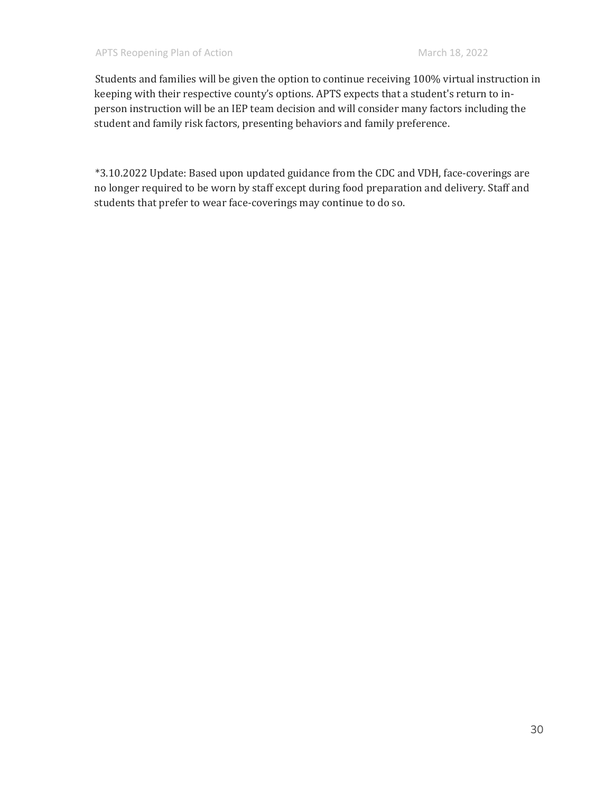Students and families will be given the option to continue receiving 100% virtual instruction in keeping with their respective county's options. APTS expects that a student's return to inperson instruction will be an IEP team decision and will consider many factors including the student and family risk factors, presenting behaviors and family preference.

\*3.10.2022 Update: Based upon updated guidance from the CDC and VDH, face-coverings are no longer required to be worn by staff except during food preparation and delivery. Staff and students that prefer to wear face-coverings may continue to do so.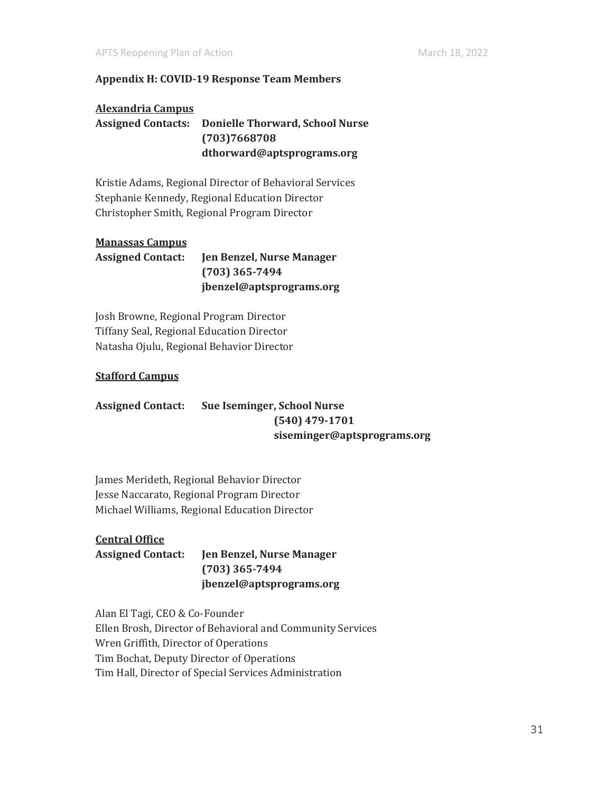#### **Appendix H: COVID-19 Response Team Members**

#### **Alexandria Campus**

**Assigned Contacts: Donielle Thorward, School Nurse (703)7668708 dthorward@aptsprograms.org**

Kristie Adams, Regional Director of Behavioral Services Stephanie Kennedy, Regional Education Director Christopher Smith, Regional Program Director

#### **Manassas Campus**

**Assigned Contact: Jen Benzel, Nurse Manager (703) 365-7494 jbenzel@aptsprograms.org**

Josh Browne, Regional Program Director Tiffany Seal, Regional Education Director Natasha Ojulu, Regional Behavior Director

#### **Stafford Campus**

#### **Assigned Contact: Sue Iseminger, School Nurse (540) 479-1701 siseminger@aptsprograms.org**

James Merideth, Regional Behavior Director Jesse Naccarato, Regional Program Director Michael Williams, Regional Education Director

#### **Central Office**

**Assigned Contact: Jen Benzel, Nurse Manager (703) 365-7494 jbenzel@aptsprograms.org**

Alan El Tagi, CEO & Co-Founder Ellen Brosh, Director of Behavioral and Community Services Wren Griffith, Director of Operations Tim Bochat, Deputy Director of Operations Tim Hall, Director of Special Services Administration